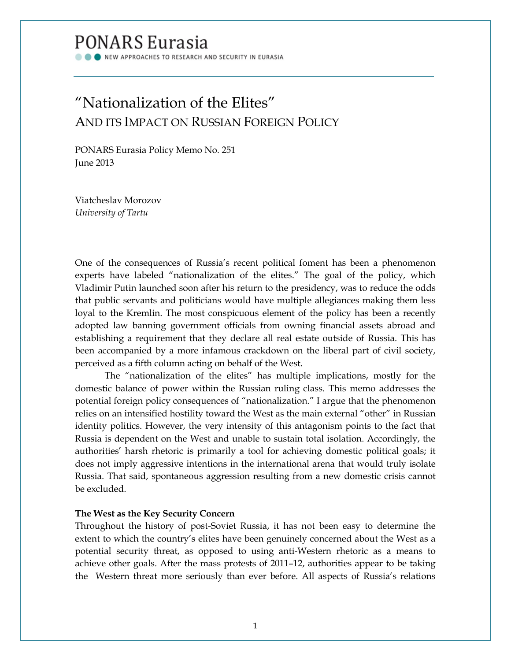# **PONARS Eurasia**

NEW APPROACHES TO RESEARCH AND SECURITY IN EURASIA

## "Nationalization of the Elites" AND ITS IMPACT ON RUSSIAN FOREIGN POLICY

PONARS Eurasia Policy Memo No. 251 June 2013

Viatcheslav Morozov *University of Tartu*

One of the consequences of Russia's recent political foment has been a phenomenon experts have labeled "nationalization of the elites." The goal of the policy, which Vladimir Putin launched soon after his return to the presidency, was to reduce the odds that public servants and politicians would have multiple allegiances making them less loyal to the Kremlin. The most conspicuous element of the policy has been a recently adopted law banning government officials from owning financial assets abroad and establishing a requirement that they declare all real estate outside of Russia. This has been accompanied by a more infamous crackdown on the liberal part of civil society, perceived as a fifth column acting on behalf of the West.

The "nationalization of the elites" has multiple implications, mostly for the domestic balance of power within the Russian ruling class. This memo addresses the potential foreign policy consequences of "nationalization." I argue that the phenomenon relies on an intensified hostility toward the West as the main external "other" in Russian identity politics. However, the very intensity of this antagonism points to the fact that Russia is dependent on the West and unable to sustain total isolation. Accordingly, the authorities' harsh rhetoric is primarily a tool for achieving domestic political goals; it does not imply aggressive intentions in the international arena that would truly isolate Russia. That said, spontaneous aggression resulting from a new domestic crisis cannot be excluded.

### **The West as the Key Security Concern**

Throughout the history of post-Soviet Russia, it has not been easy to determine the extent to which the country's elites have been genuinely concerned about the West as a potential security threat, as opposed to using anti-Western rhetoric as a means to achieve other goals. After the mass protests of 2011–12, authorities appear to be taking the Western threat more seriously than ever before. All aspects of Russia's relations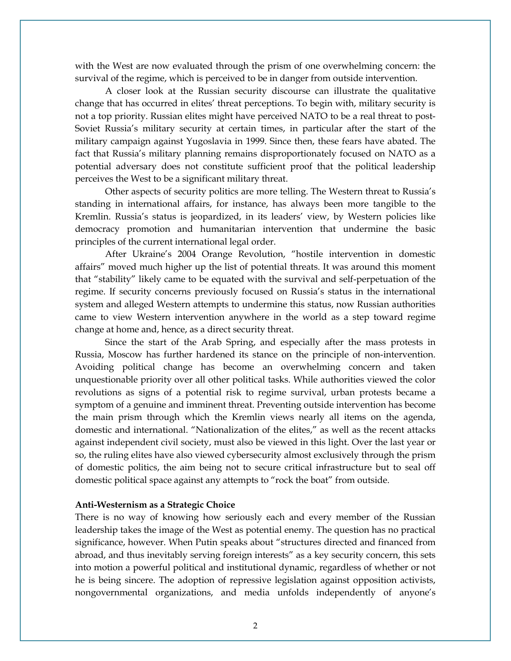with the West are now evaluated through the prism of one overwhelming concern: the survival of the regime, which is perceived to be in danger from outside intervention.

A closer look at the Russian security discourse can illustrate the qualitative change that has occurred in elites' threat perceptions. To begin with, military security is not a top priority. Russian elites might have perceived NATO to be a real threat to post-Soviet Russia's military security at certain times, in particular after the start of the military campaign against Yugoslavia in 1999. Since then, these fears have abated. The fact that Russia's military planning remains disproportionately focused on NATO as a potential adversary does not constitute sufficient proof that the political leadership perceives the West to be a significant military threat.

Other aspects of security politics are more telling. The Western threat to Russia's standing in international affairs, for instance, has always been more tangible to the Kremlin. Russia's status is jeopardized, in its leaders' view, by Western policies like democracy promotion and humanitarian intervention that undermine the basic principles of the current international legal order.

After Ukraine's 2004 Orange Revolution, "hostile intervention in domestic affairs" moved much higher up the list of potential threats. It was around this moment that "stability" likely came to be equated with the survival and self-perpetuation of the regime. If security concerns previously focused on Russia's status in the international system and alleged Western attempts to undermine this status, now Russian authorities came to view Western intervention anywhere in the world as a step toward regime change at home and, hence, as a direct security threat.

Since the start of the Arab Spring, and especially after the mass protests in Russia, Moscow has further hardened its stance on the principle of non-intervention. Avoiding political change has become an overwhelming concern and taken unquestionable priority over all other political tasks. While authorities viewed the color revolutions as signs of a potential risk to regime survival, urban protests became a symptom of a genuine and imminent threat. Preventing outside intervention has become the main prism through which the Kremlin views nearly all items on the agenda, domestic and international. "Nationalization of the elites," as well as the recent attacks against independent civil society, must also be viewed in this light. Over the last year or so, the ruling elites have also viewed cybersecurity almost exclusively through the prism of domestic politics, the aim being not to secure critical infrastructure but to seal off domestic political space against any attempts to "rock the boat" from outside.

#### **Anti-Westernism as a Strategic Choice**

There is no way of knowing how seriously each and every member of the Russian leadership takes the image of the West as potential enemy. The question has no practical significance, however. When Putin speaks about "structures directed and financed from abroad, and thus inevitably serving foreign interests" as a key security concern, this sets into motion a powerful political and institutional dynamic, regardless of whether or not he is being sincere. The adoption of repressive legislation against opposition activists, nongovernmental organizations, and media unfolds independently of anyone's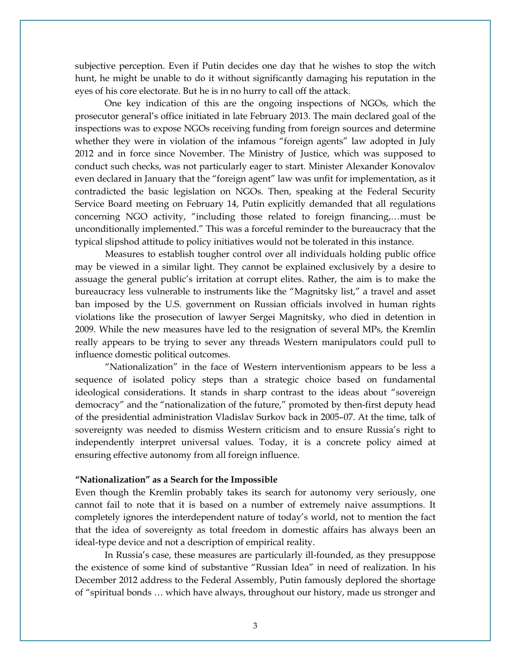subjective perception. Even if Putin decides one day that he wishes to stop the witch hunt, he might be unable to do it without significantly damaging his reputation in the eyes of his core electorate. But he is in no hurry to call off the attack.

One key indication of this are the ongoing inspections of NGOs, which the prosecutor general's office initiated in late February 2013. The main declared goal of the inspections was to expose NGOs receiving funding from foreign sources and determine whether they were in violation of the infamous "foreign agents" law adopted in July 2012 and in force since November. The Ministry of Justice, which was supposed to conduct such checks, was not particularly eager to start. Minister Alexander Konovalov even declared in January that the "foreign agent" law was unfit for implementation, as it contradicted the basic legislation on NGOs. Then, speaking at the Federal Security Service Board meeting on February 14, Putin explicitly demanded that all regulations concerning NGO activity, "including those related to foreign financing,…must be unconditionally implemented." This was a forceful reminder to the bureaucracy that the typical slipshod attitude to policy initiatives would not be tolerated in this instance.

Measures to establish tougher control over all individuals holding public office may be viewed in a similar light. They cannot be explained exclusively by a desire to assuage the general public's irritation at corrupt elites. Rather, the aim is to make the bureaucracy less vulnerable to instruments like the "Magnitsky list," a travel and asset ban imposed by the U.S. government on Russian officials involved in human rights violations like the prosecution of lawyer Sergei Magnitsky, who died in detention in 2009. While the new measures have led to the resignation of several MPs, the Kremlin really appears to be trying to sever any threads Western manipulators could pull to influence domestic political outcomes.

"Nationalization" in the face of Western interventionism appears to be less a sequence of isolated policy steps than a strategic choice based on fundamental ideological considerations. It stands in sharp contrast to the ideas about "sovereign democracy" and the "nationalization of the future," promoted by then-first deputy head of the presidential administration Vladislav Surkov back in 2005–07. At the time, talk of sovereignty was needed to dismiss Western criticism and to ensure Russia's right to independently interpret universal values. Today, it is a concrete policy aimed at ensuring effective autonomy from all foreign influence.

#### **"Nationalization" as a Search for the Impossible**

Even though the Kremlin probably takes its search for autonomy very seriously, one cannot fail to note that it is based on a number of extremely naive assumptions. It completely ignores the interdependent nature of today's world, not to mention the fact that the idea of sovereignty as total freedom in domestic affairs has always been an ideal-type device and not a description of empirical reality.

In Russia's case, these measures are particularly ill-founded, as they presuppose the existence of some kind of substantive "Russian Idea" in need of realization. In his December 2012 address to the Federal Assembly, Putin famously deplored the shortage of "spiritual bonds … which have always, throughout our history, made us stronger and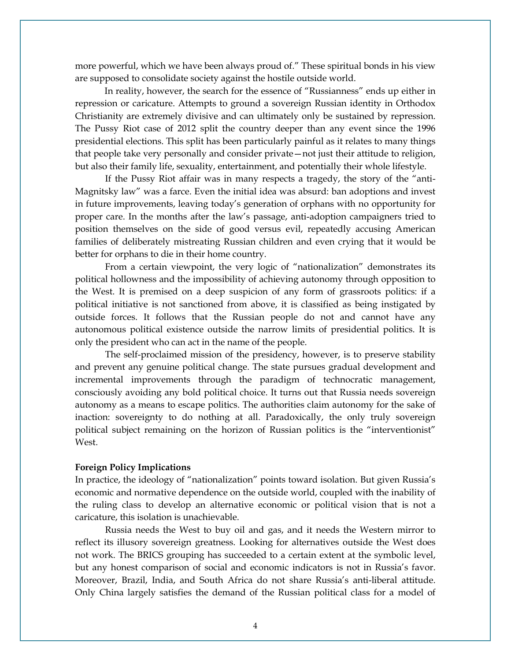more powerful, which we have been always proud of." These spiritual bonds in his view are supposed to consolidate society against the hostile outside world.

In reality, however, the search for the essence of "Russianness" ends up either in repression or caricature. Attempts to ground a sovereign Russian identity in Orthodox Christianity are extremely divisive and can ultimately only be sustained by repression. The Pussy Riot case of 2012 split the country deeper than any event since the 1996 presidential elections. This split has been particularly painful as it relates to many things that people take very personally and consider private—not just their attitude to religion, but also their family life, sexuality, entertainment, and potentially their whole lifestyle.

If the Pussy Riot affair was in many respects a tragedy, the story of the "anti-Magnitsky law" was a farce. Even the initial idea was absurd: ban adoptions and invest in future improvements, leaving today's generation of orphans with no opportunity for proper care. In the months after the law's passage, anti-adoption campaigners tried to position themselves on the side of good versus evil, repeatedly accusing American families of deliberately mistreating Russian children and even crying that it would be better for orphans to die in their home country.

From a certain viewpoint, the very logic of "nationalization" demonstrates its political hollowness and the impossibility of achieving autonomy through opposition to the West. It is premised on a deep suspicion of any form of grassroots politics: if a political initiative is not sanctioned from above, it is classified as being instigated by outside forces. It follows that the Russian people do not and cannot have any autonomous political existence outside the narrow limits of presidential politics. It is only the president who can act in the name of the people.

The self-proclaimed mission of the presidency, however, is to preserve stability and prevent any genuine political change. The state pursues gradual development and incremental improvements through the paradigm of technocratic management, consciously avoiding any bold political choice. It turns out that Russia needs sovereign autonomy as a means to escape politics. The authorities claim autonomy for the sake of inaction: sovereignty to do nothing at all. Paradoxically, the only truly sovereign political subject remaining on the horizon of Russian politics is the "interventionist" West.

#### **Foreign Policy Implications**

In practice, the ideology of "nationalization" points toward isolation. But given Russia's economic and normative dependence on the outside world, coupled with the inability of the ruling class to develop an alternative economic or political vision that is not a caricature, this isolation is unachievable.

Russia needs the West to buy oil and gas, and it needs the Western mirror to reflect its illusory sovereign greatness. Looking for alternatives outside the West does not work. The BRICS grouping has succeeded to a certain extent at the symbolic level, but any honest comparison of social and economic indicators is not in Russia's favor. Moreover, Brazil, India, and South Africa do not share Russia's anti-liberal attitude. Only China largely satisfies the demand of the Russian political class for a model of